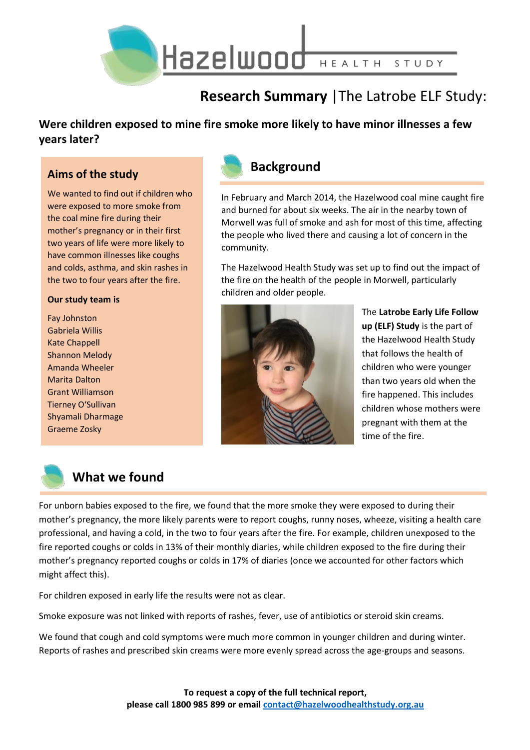

# **Research Summary** |The Latrobe ELF Study:

### **Were children exposed to mine fire smoke more likely to have minor illnesses a few years later?**

### **Aims of the study**

We wanted to find out if children who were exposed to more smoke from the coal mine fire during their mother's pregnancy or in their first two years of life were more likely to have common illnesses like coughs and colds, asthma, and skin rashes in the two to four years after the fire.

#### **Our study team is**

Fay Johnston Gabriela Willis Kate Chappell Shannon Melody Amanda Wheeler Marita Dalton Grant Williamson Tierney O'Sullivan Shyamali Dharmage Graeme Zosky



In February and March 2014, the Hazelwood coal mine caught fire and burned for about six weeks. The air in the nearby town of Morwell was full of smoke and ash for most of this time, affecting the people who lived there and causing a lot of concern in the community.

The Hazelwood Health Study was set up to find out the impact of the fire on the health of the people in Morwell, particularly children and older people.



The **Latrobe Early Life Follow up (ELF) Study** is the part of the Hazelwood Health Study that follows the health of children who were younger than two years old when the fire happened. This includes children whose mothers were pregnant with them at the time of the fire.



## **What we found**

For unborn babies exposed to the fire, we found that the more smoke they were exposed to during their mother's pregnancy, the more likely parents were to report coughs, runny noses, wheeze, visiting a health care professional, and having a cold, in the two to four years after the fire. For example, children unexposed to the fire reported coughs or colds in 13% of their monthly diaries, while children exposed to the fire during their mother's pregnancy reported coughs or colds in 17% of diaries (once we accounted for other factors which might affect this).

For children exposed in early life the results were not as clear.

Smoke exposure was not linked with reports of rashes, fever, use of antibiotics or steroid skin creams.

We found that cough and cold symptoms were much more common in younger children and during winter. Reports of rashes and prescribed skin creams were more evenly spread across the age-groups and seasons.